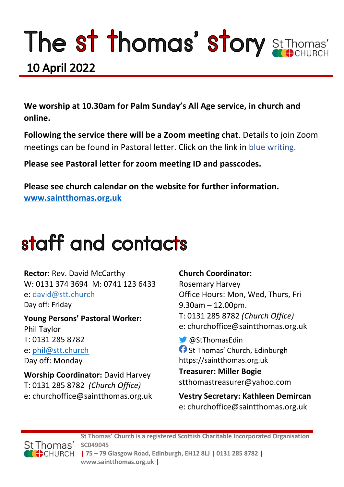# The st thomas' story St Thomas'

### **10 April 2022**

**We worship at 10.30am for Palm Sunday's All Age service, in church and online.** 

**Following the service there will be a Zoom meeting chat**. Details to join Zoom meetings can be found in Pastoral letter. Click on the link in blue writing.

**Please see Pastoral letter for zoom meeting ID and passcodes.**

**Please see church calendar on the website for further information. [www.saintthomas.org.uk](http://www.saintthomas.org.uk/)**

### staff and contacts

**Rector:** Rev. David McCarthy W: 0131 374 3694 M: 0741 123 6433 e: david@stt.church Day off: Friday

**Young Persons' Pastoral Worker:** Phil Taylor T: 0131 285 8782 e: [phil@stt.church](mailto:phil@stt.church) Day off: Monday

**Worship Coordinator:** David Harvey T: 0131 285 8782 *(Church Office)* e: churchoffice@saintthomas.org.uk

#### **Church Coordinator:**

Rosemary Harvey Office Hours: Mon, Wed, Thurs, Fri 9.30am – 12.00pm. T: 0131 285 8782 *(Church Office)* e: churchoffice@saintthomas.org.uk

@StThomasEdin **St Thomas' Church, Edinburgh** https://saintthomas.org.uk

**Treasurer: Miller Bogie** stthomastreasurer@yahoo.com

**Vestry Secretary: Kathleen Demircan**  e: churchoffice@saintthomas.org.uk

St Thomas' CHURCH

**St Thomas' Church is a registered Scottish Charitable Incorporated Organisation SC049045 | 75 – 79 Glasgow Road, Edinburgh, EH12 8LJ | 0131 285 8782 |** 

**www.saintthomas.org.uk |**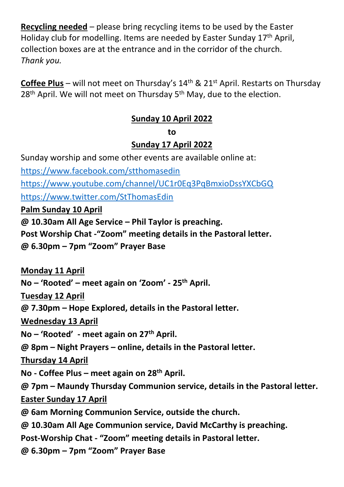**Recycling needed** – please bring recycling items to be used by the Easter Holiday club for modelling. Items are needed by Easter Sunday 17th April, collection boxes are at the entrance and in the corridor of the church. *Thank you.*

**Coffee Plus** – will not meet on Thursday's 14th & 21st April. Restarts on Thursday 28<sup>th</sup> April. We will not meet on Thursday 5<sup>th</sup> May, due to the election.

#### **Sunday 10 April 2022**

#### **to**

#### **Sunday 17 April 2022**

Sunday worship and some other events are available online at:

<https://www.facebook.com/stthomasedin>

<https://www.youtube.com/channel/UC1r0Eq3PqBmxioDssYXCbGQ>

<https://www.twitter.com/StThomasEdin>

**Palm Sunday 10 April**

**@ 10.30am All Age Service – Phil Taylor is preaching.**

**Post Worship Chat -"Zoom" meeting details in the Pastoral letter.**

**@ 6.30pm – 7pm "Zoom" Prayer Base**

**Monday 11 April**

**No – 'Rooted' – meet again on 'Zoom' - 25th April.**

**Tuesday 12 April**

**@ 7.30pm – Hope Explored, details in the Pastoral letter.**

**Wednesday 13 April**

**No – 'Rooted' - meet again on 27th April.**

**@ 8pm – Night Prayers – online, details in the Pastoral letter.**

**Thursday 14 April**

**No - Coffee Plus – meet again on 28th April.**

**@ 7pm – Maundy Thursday Communion service, details in the Pastoral letter. Easter Sunday 17 April**

- **@ 6am Morning Communion Service, outside the church.**
- **@ 10.30am All Age Communion service, David McCarthy is preaching.**

**Post-Worship Chat - "Zoom" meeting details in Pastoral letter.**

**@ 6.30pm – 7pm "Zoom" Prayer Base**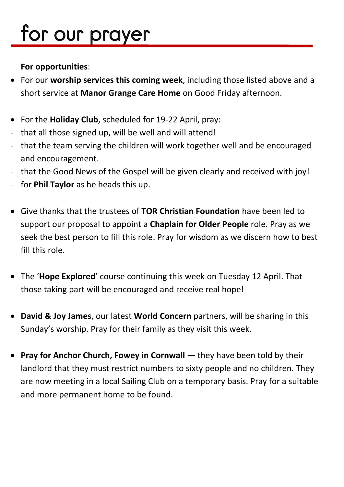## for our prayer

#### **For opportunities**:

- For our **worship services this coming week**, including those listed above and a short service at **Manor Grange Care Home** on Good Friday afternoon.
- For the **Holiday Club**, scheduled for 19-22 April, pray:
- that all those signed up, will be well and will attend!
- that the team serving the children will work together well and be encouraged and encouragement.
- that the Good News of the Gospel will be given clearly and received with joy!
- for **Phil Taylor** as he heads this up.
- Give thanks that the trustees of **TOR Christian Foundation** have been led to support our proposal to appoint a **Chaplain for Older People** role. Pray as we seek the best person to fill this role. Pray for wisdom as we discern how to best fill this role.
- The '**Hope Explored**' course continuing this week on Tuesday 12 April. That those taking part will be encouraged and receive real hope!
- **David & Joy James**, our latest **World Concern** partners, will be sharing in this Sunday's worship. Pray for their family as they visit this week.
- **Pray for Anchor Church, Fowey in Cornwall they have been told by their** landlord that they must restrict numbers to sixty people and no children. They are now meeting in a local Sailing Club on a temporary basis. Pray for a suitable and more permanent home to be found.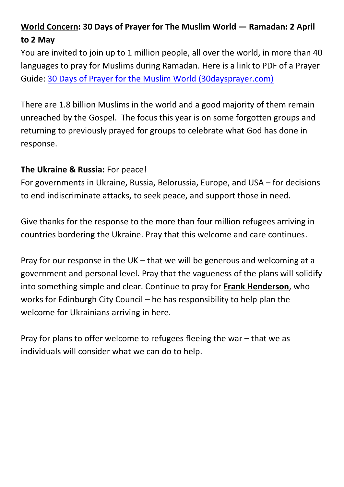#### **World Concern: 30 Days of Prayer for The Muslim World — Ramadan: 2 April to 2 May**

You are invited to join up to 1 million people, all over the world, in more than 40 languages to pray for Muslims during Ramadan. Here is a link to PDF of a Prayer Guide: [30 Days of Prayer for the Muslim World \(30daysprayer.com\)](https://www.30daysprayer.com/)

There are 1.8 billion Muslims in the world and a good majority of them remain unreached by the Gospel. The focus this year is on some forgotten groups and returning to previously prayed for groups to celebrate what God has done in response.

#### **The Ukraine & Russia:** For peace!

For governments in Ukraine, Russia, Belorussia, Europe, and USA – for decisions to end indiscriminate attacks, to seek peace, and support those in need.

Give thanks for the response to the more than four million refugees arriving in countries bordering the Ukraine. Pray that this welcome and care continues.

Pray for our response in the UK – that we will be generous and welcoming at a government and personal level. Pray that the vagueness of the plans will solidify into something simple and clear. Continue to pray for **Frank Henderson**, who works for Edinburgh City Council – he has responsibility to help plan the welcome for Ukrainians arriving in here.

Pray for plans to offer welcome to refugees fleeing the war – that we as individuals will consider what we can do to help.